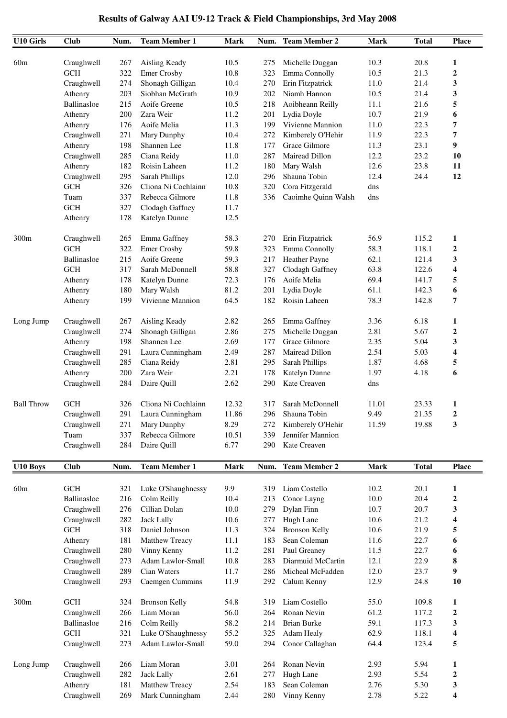| <b>U10 Girls</b>  | <b>Club</b>           | Num.       | <b>Team Member 1</b>                | <b>Mark</b>  | Num.       | <b>Team Member 2</b>             | Mark         | <b>Total</b> | <b>Place</b>            |
|-------------------|-----------------------|------------|-------------------------------------|--------------|------------|----------------------------------|--------------|--------------|-------------------------|
|                   |                       |            |                                     |              |            |                                  |              |              |                         |
| 60m               | Craughwell            | 267        | Aisling Keady                       | 10.5         | 275        | Michelle Duggan                  | 10.3         | 20.8         | 1                       |
|                   | <b>GCH</b>            | 322<br>274 | <b>Emer Crosby</b>                  | 10.8<br>10.4 | 323        | Emma Connolly                    | 10.5<br>11.0 | 21.3<br>21.4 | $\boldsymbol{2}$        |
|                   | Craughwell<br>Athenry | 203        | Shonagh Gilligan<br>Siobhan McGrath | 10.9         | 270<br>202 | Erin Fitzpatrick<br>Niamh Hannon | 10.5         | 21.4         | 3<br>3                  |
|                   | Ballinasloe           | 215        | Aoife Greene                        | 10.5         | 218        | Aoibheann Reilly                 | 11.1         | 21.6         | 5                       |
|                   | Athenry               | 200        | Zara Weir                           | 11.2         | 201        | Lydia Doyle                      | 10.7         | 21.9         | 6                       |
|                   | Athenry               | 176        | Aoife Melia                         | 11.3         | 199        | Vivienne Mannion                 | 11.0         | 22.3         | 7                       |
|                   |                       | 271        | Mary Dunphy                         | 10.4         |            | Kimberely O'Hehir                | 11.9         | 22.3         | 7                       |
|                   | Craughwell            | 198        | Shannen Lee                         | 11.8         | 272<br>177 | Grace Gilmore                    | 11.3         | 23.1         | 9                       |
|                   | Athenry               | 285        | Ciana Reidy                         | 11.0         | 287        | Mairead Dillon                   | 12.2         | 23.2         | 10                      |
|                   | Craughwell<br>Athenry | 182        | Roisin Laheen                       | 11.2         |            | Mary Walsh                       | 12.6         | 23.8         | 11                      |
|                   |                       | 295        |                                     | 12.0         | 180        | Shauna Tobin                     | 12.4         | 24.4         | 12                      |
|                   | Craughwell            |            | Sarah Phillips                      |              | 296        |                                  |              |              |                         |
|                   | <b>GCH</b>            | 326        | Cliona Ni Cochlainn                 | 10.8         | 320        | Cora Fitzgerald                  | dns          |              |                         |
|                   | Tuam<br>GCH           | 337        | Rebecca Gilmore                     | 11.8         | 336        | Caoimhe Quinn Walsh              | dns          |              |                         |
|                   |                       | 327        | Clodagh Gaffney                     | 11.7         |            |                                  |              |              |                         |
|                   | Athenry               | 178        | Katelyn Dunne                       | 12.5         |            |                                  |              |              |                         |
| 300m              | Craughwell            | 265        | Emma Gaffney                        | 58.3         | 270        | Erin Fitzpatrick                 | 56.9         | 115.2        | 1                       |
|                   | GCH                   | 322        | <b>Emer Crosby</b>                  | 59.8         | 323        | Emma Connolly                    | 58.3         | 118.1        | $\boldsymbol{2}$        |
|                   | Ballinasloe           | 215        | Aoife Greene                        | 59.3         | 217        | Heather Payne                    | 62.1         | 121.4        | 3                       |
|                   | <b>GCH</b>            | 317        | Sarah McDonnell                     | 58.8         | 327        | Clodagh Gaffney                  | 63.8         | 122.6        | 4                       |
|                   | Athenry               | 178        | Katelyn Dunne                       | 72.3         | 176        | Aoife Melia                      | 69.4         | 141.7        | 5                       |
|                   | Athenry               | 180        | Mary Walsh                          | 81.2         | 201        | Lydia Doyle                      | 61.1         | 142.3        | 6                       |
|                   | Athenry               | 199        | Vivienne Mannion                    | 64.5         | 182        | Roisin Laheen                    | 78.3         | 142.8        | 7                       |
| Long Jump         | Craughwell            | 267        | Aisling Keady                       | 2.82         | 265        | Emma Gaffney                     | 3.36         | 6.18         | 1                       |
|                   | Craughwell            | 274        | Shonagh Gilligan                    | 2.86         | 275        | Michelle Duggan                  | 2.81         | 5.67         | $\boldsymbol{2}$        |
|                   | Athenry               | 198        | Shannen Lee                         | 2.69         | 177        | Grace Gilmore                    | 2.35         | 5.04         | 3                       |
|                   | Craughwell            | 291        | Laura Cunningham                    | 2.49         | 287        | Mairead Dillon                   | 2.54         | 5.03         | 4                       |
|                   | Craughwell            | 285        | Ciana Reidy                         | 2.81         | 295        | Sarah Phillips                   | 1.87         | 4.68         | 5                       |
|                   | Athenry               | 200        | Zara Weir                           | 2.21         | 178        | Katelyn Dunne                    | 1.97         | 4.18         | 6                       |
|                   | Craughwell            | 284        | Daire Quill                         | 2.62         | 290        | Kate Creaven                     | dns          |              |                         |
|                   |                       |            |                                     |              |            |                                  |              |              |                         |
| <b>Ball Throw</b> | GCH                   | 326        | Cliona Ni Cochlainn                 | 12.32        | 317        | Sarah McDonnell                  | 11.01        | 23.33        | 1                       |
|                   | Craughwell            | 291        | Laura Cunningham                    | 11.86        | 296        | Shauna Tobin                     | 9.49         | 21.35        | $\overline{\mathbf{c}}$ |
|                   | Craughwell            | 271        | Mary Dunphy                         | 8.29         | 272        | Kimberely O'Hehir                | 11.59        | 19.88        | 3                       |
|                   | Tuam                  | 337        | Rebecca Gilmore                     | 10.51        | 339        | Jennifer Mannion                 |              |              |                         |
|                   | Craughwell            | 284        | Daire Quill                         | 6.77         | 290        | Kate Creaven                     |              |              |                         |
| U10 Boys          | <b>Club</b>           | Num.       | <b>Team Member 1</b>                | <b>Mark</b>  | Num.       | <b>Team Member 2</b>             | <b>Mark</b>  | <b>Total</b> | <b>Place</b>            |
|                   |                       |            |                                     |              |            |                                  |              |              |                         |
| 60m               | GCH                   | 321        | Luke O'Shaughnessy                  | 9.9          | 319        | Liam Costello                    | 10.2         | 20.1         | 1                       |
|                   | <b>Ballinasloe</b>    | 216        | Colm Reilly                         | 10.4         | 213        | Conor Layng                      | 10.0         | 20.4         | $\boldsymbol{2}$        |
|                   | Craughwell            | 276        | Cillian Dolan                       | 10.0         | 279        | Dylan Finn                       | 10.7         | 20.7         | 3                       |
|                   | Craughwell            | 282        | <b>Jack Lally</b>                   | 10.6         | 277        | Hugh Lane                        | 10.6         | 21.2         | 4                       |
|                   | GCH                   | 318        | Daniel Johnson                      | 11.3         | 324        | <b>Bronson Kelly</b>             | 10.6         | 21.9         | 5                       |
|                   | Athenry               | 181        | Matthew Treacy                      | 11.1         | 183        | Sean Coleman                     | 11.6         | 22.7         | 6                       |
|                   | Craughwell            | 280        | Vinny Kenny                         | 11.2         | 281        | Paul Greaney                     | 11.5         | 22.7         | 6                       |
|                   | Craughwell            | 273        | Adam Lawlor-Small                   | 10.8         | 283        | Diarmuid McCartin                | 12.1         | 22.9         | 8                       |
|                   | Craughwell            | 289        | Cian Waters                         | 11.7         | 286        | Micheal McFadden                 | 12.0         | 23.7         | 9                       |
|                   | Craughwell            | 293        | Caemgen Cummins                     | 11.9         | 292        | Calum Kenny                      | 12.9         | 24.8         | 10                      |
| 300m              | $\operatorname{GCH}$  | 324        | <b>Bronson Kelly</b>                | 54.8         | 319        | Liam Costello                    | 55.0         | 109.8        | $\mathbf{1}$            |
|                   | Craughwell            | 266        | Liam Moran                          | 56.0         | 264        | Ronan Nevin                      | 61.2         | 117.2        | $\boldsymbol{2}$        |
|                   | Ballinasloe           | 216        | Colm Reilly                         | 58.2         | 214        | <b>Brian Burke</b>               | 59.1         | 117.3        | 3                       |
|                   | <b>GCH</b>            | 321        | Luke O'Shaughnessy                  | 55.2         | 325        | Adam Healy                       | 62.9         | 118.1        | 4                       |
|                   | Craughwell            | 273        | Adam Lawlor-Small                   | 59.0         | 294        | Conor Callaghan                  | 64.4         | 123.4        | 5                       |
|                   |                       |            | Liam Moran                          |              |            | Ronan Nevin                      | 2.93         | 5.94         |                         |
| Long Jump         | Craughwell            | 266        |                                     | 3.01         | 264        |                                  |              |              | 1                       |
|                   | Craughwell            | 282        | <b>Jack Lally</b>                   | 2.61<br>2.54 | 277        | Hugh Lane<br>Sean Coleman        | 2.93<br>2.76 | 5.54         | $\boldsymbol{2}$        |
|                   | Athenry               | 181        | Matthew Treacy                      |              | 183        |                                  |              | 5.30         | 3                       |
|                   | Craughwell            | 269        | Mark Cunningham                     | 2.44         | 280        | Vinny Kenny                      | 2.78         | 5.22         | 4                       |

## **Results of Galway AAI U9-12 Track & Field Championships, 3rd May 2008**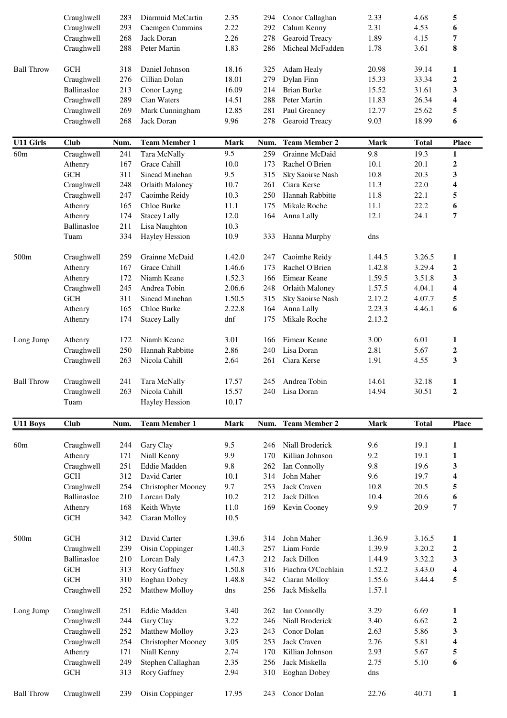|                   | Craughwell  | 283  | Diarmuid McCartin         | 2.35           | 294  | Conor Callaghan      | 2.33        | 4.68         | 5                       |
|-------------------|-------------|------|---------------------------|----------------|------|----------------------|-------------|--------------|-------------------------|
|                   | Craughwell  | 293  | <b>Caemgen Cummins</b>    | 2.22           | 292  | Calum Kenny          | 2.31        | 4.53         | 6                       |
|                   | Craughwell  | 268  | Jack Doran                | 2.26           | 278  | Gearoid Treacy       | 1.89        | 4.15         | 7                       |
|                   | Craughwell  | 288  | Peter Martin              | 1.83           | 286  | Micheal McFadden     | 1.78        | 3.61         | 8                       |
|                   |             |      |                           |                |      |                      |             |              |                         |
| <b>Ball Throw</b> | <b>GCH</b>  | 318  | Daniel Johnson            | 18.16          | 325  | Adam Healy           | 20.98       | 39.14        | 1                       |
|                   | Craughwell  | 276  | Cillian Dolan             | 18.01          | 279  | Dylan Finn           | 15.33       | 33.34        | $\boldsymbol{2}$        |
|                   | Ballinasloe | 213  | Conor Layng               | 16.09          | 214  | <b>Brian Burke</b>   | 15.52       | 31.61        | 3                       |
|                   | Craughwell  | 289  | Cian Waters               | 14.51          | 288  | Peter Martin         | 11.83       | 26.34        | 4                       |
|                   | Craughwell  | 269  | Mark Cunningham           | 12.85          | 281  | Paul Greaney         | 12.77       | 25.62        | 5                       |
|                   | Craughwell  | 268  | Jack Doran                | 9.96           | 278  | Gearoid Treacy       | 9.03        | 18.99        | 6                       |
|                   |             |      |                           |                |      |                      |             |              |                         |
| <b>U11 Girls</b>  | <b>Club</b> | Num. | <b>Team Member 1</b>      | <b>Mark</b>    | Num. | <b>Team Member 2</b> | <b>Mark</b> | <b>Total</b> | <b>Place</b>            |
| 60m               | Craughwell  | 241  | Tara McNally              | 9.5            | 259  | Grainne McDaid       | 9.8         | 19.3         | 1                       |
|                   | Athenry     | 167  | Grace Cahill              | 10.0           | 173  | Rachel O'Brien       | 10.1        | 20.1         | $\boldsymbol{2}$        |
|                   | <b>GCH</b>  | 311  | Sinead Minehan            | 9.5            | 315  | Sky Saoirse Nash     | 10.8        | 20.3         | 3                       |
|                   | Craughwell  | 248  | Orlaith Maloney           | 10.7           | 261  | Ciara Kerse          | 11.3        | 22.0         | 4                       |
|                   | Craughwell  | 247  | Caoimhe Reidy             | 10.3           | 250  | Hannah Rabbitte      | 11.8        | 22.1         | 5                       |
|                   | Athenry     | 165  | Chloe Burke               | 11.1           | 175  | Mikale Roche         | 11.1        | 22.2         | 6                       |
|                   | Athenry     | 174  | <b>Stacey Lally</b>       | 12.0           | 164  | Anna Lally           | 12.1        | 24.1         | 7                       |
|                   | Ballinasloe | 211  | Lisa Naughton             | 10.3           |      |                      |             |              |                         |
|                   | Tuam        | 334  | <b>Hayley Hession</b>     | 10.9           | 333  | Hanna Murphy         | dns         |              |                         |
|                   |             |      |                           |                |      |                      |             |              |                         |
| 500m              | Craughwell  | 259  | Grainne McDaid            | 1.42.0         | 247  | Caoimhe Reidy        | 1.44.5      | 3.26.5       | 1                       |
|                   | Athenry     | 167  | Grace Cahill              | 1.46.6         | 173  | Rachel O'Brien       | 1.42.8      | 3.29.4       | $\boldsymbol{2}$        |
|                   | Athenry     | 172  | Niamh Keane               | 1.52.3         | 166  | Eimear Keane         | 1.59.5      | 3.51.8       | 3                       |
|                   | Craughwell  | 245  | Andrea Tobin              | 2.06.6         | 248  | Orlaith Maloney      | 1.57.5      | 4.04.1       | 4                       |
|                   | <b>GCH</b>  | 311  | Sinead Minehan            | 1.50.5         | 315  | Sky Saoirse Nash     | 2.17.2      | 4.07.7       | 5                       |
|                   | Athenry     | 165  | Chloe Burke               | 2.22.8         |      | Anna Lally           | 2.23.3      | 4.46.1       | 6                       |
|                   |             |      |                           | dnf            | 164  | Mikale Roche         | 2.13.2      |              |                         |
|                   | Athenry     | 174  | <b>Stacey Lally</b>       |                | 175  |                      |             |              |                         |
| Long Jump         | Athenry     | 172  | Niamh Keane               | 3.01           | 166  | Eimear Keane         | 3.00        | 6.01         | 1                       |
|                   | Craughwell  | 250  | Hannah Rabbitte           | 2.86           | 240  | Lisa Doran           | 2.81        | 5.67         | $\boldsymbol{2}$        |
|                   | Craughwell  | 263  | Nicola Cahill             | 2.64           | 261  | Ciara Kerse          | 1.91        | 4.55         | 3                       |
|                   |             |      |                           |                |      |                      |             |              |                         |
|                   |             |      |                           |                |      |                      |             |              |                         |
|                   |             |      |                           |                |      |                      |             |              |                         |
| <b>Ball Throw</b> | Craughwell  | 241  | Tara McNally              | 17.57          | 245  | Andrea Tobin         | 14.61       | 32.18        | 1<br>$\mathbf{2}$       |
|                   | Craughwell  | 263  | Nicola Cahill             | 15.57<br>10.17 |      | 240 Lisa Doran       | 14.94       | 30.51        |                         |
|                   | Tuam        |      | Hayley Hession            |                |      |                      |             |              |                         |
| U11 Boys          | <b>Club</b> | Num. | <b>Team Member 1</b>      | <b>Mark</b>    |      | Num. Team Member 2   | <b>Mark</b> | <b>Total</b> | <b>Place</b>            |
|                   |             |      |                           |                |      |                      |             |              |                         |
| 60m               | Craughwell  | 244  | Gary Clay                 | 9.5            | 246  | Niall Broderick      | 9.6         | 19.1         | 1                       |
|                   | Athenry     | 171  | Niall Kenny               | 9.9            | 170  | Killian Johnson      | 9.2         | 19.1         | $\mathbf{1}$            |
|                   | Craughwell  | 251  | Eddie Madden              | 9.8            | 262  | Ian Connolly         | 9.8         | 19.6         | 3                       |
|                   | GCH         | 312  | David Carter              | 10.1           | 314  | John Maher           | 9.6         | 19.7         | $\overline{\mathbf{4}}$ |
|                   | Craughwell  | 254  | <b>Christopher Mooney</b> | 9.7            | 253  | Jack Craven          | 10.8        | 20.5         | 5                       |
|                   | Ballinasloe | 210  | Lorcan Daly               | 10.2           | 212  | Jack Dillon          | 10.4        | 20.6         | 6                       |
|                   | Athenry     | 168  | Keith Whyte               | 11.0           | 169  | Kevin Cooney         | 9.9         | 20.9         | 7                       |
|                   | $GCH$       | 342  | Ciaran Molloy             | 10.5           |      |                      |             |              |                         |
|                   |             |      |                           |                |      |                      |             |              |                         |
| 500 <sub>m</sub>  | <b>GCH</b>  | 312  | David Carter              | 1.39.6         | 314  | John Maher           | 1.36.9      | 3.16.5       | 1                       |
|                   | Craughwell  | 239  | Oisin Coppinger           | 1.40.3         | 257  | Liam Forde           | 1.39.9      | 3.20.2       | $\boldsymbol{2}$        |
|                   | Ballinasloe | 210  | Lorcan Daly               | 1.47.3         | 212  | Jack Dillon          | 1.44.9      | 3.32.2       | 3                       |
|                   | <b>GCH</b>  | 313  | Rory Gaffney              | 1.50.8         | 316  | Fiachra O'Cochlain   | 1.52.2      | 3.43.0       | 4                       |
|                   | $GCH$       | 310  | Eoghan Dobey              | 1.48.8         | 342  | Ciaran Molloy        | 1.55.6      | 3.44.4       | 5                       |
|                   | Craughwell  | 252  | Matthew Molloy            | dns            | 256  | Jack Miskella        | 1.57.1      |              |                         |
|                   |             |      |                           |                |      |                      |             |              |                         |
| Long Jump         | Craughwell  | 251  | Eddie Madden              | 3.40           | 262  | Ian Connolly         | 3.29        | 6.69         | 1                       |
|                   | Craughwell  | 244  | Gary Clay                 | 3.22           | 246  | Niall Broderick      | 3.40        | 6.62         | $\boldsymbol{2}$        |
|                   | Craughwell  | 252  | Matthew Molloy            | 3.23           | 243  | Conor Dolan          | 2.63        | 5.86         | 3                       |
|                   | Craughwell  | 254  | <b>Christopher Mooney</b> | 3.05           | 253  | Jack Craven          | 2.76        | 5.81         | 4                       |
|                   | Athenry     | 171  | Niall Kenny               | 2.74           | 170  | Killian Johnson      | 2.93        | 5.67         | 5                       |
|                   | Craughwell  | 249  | Stephen Callaghan         | 2.35           | 256  | Jack Miskella        | 2.75        | 5.10         | 6                       |
|                   | <b>GCH</b>  | 313  | Rory Gaffney              | 2.94           | 310  | Eoghan Dobey         | dns         |              |                         |
| <b>Ball Throw</b> | Craughwell  | 239  | Oisin Coppinger           | 17.95          | 243  | Conor Dolan          | 22.76       | 40.71        | $\mathbf{1}$            |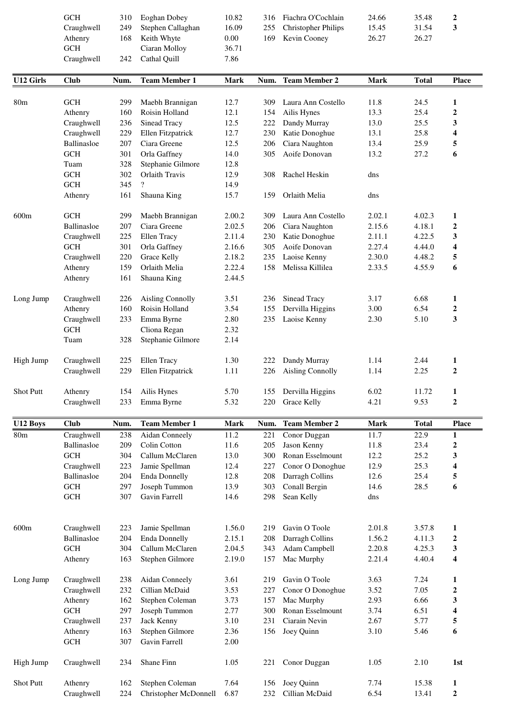| <b>GCH</b> | 310 | Eoghan Dobey      | 10.82 |
|------------|-----|-------------------|-------|
| Craughwell | 249 | Stephen Callaghan | 16.09 |
| Athenry    | 168 | Keith Whyte       | 0.00  |
| <b>GCH</b> |     | Ciaran Molloy     | 36.71 |
| Craughwell | 242 | Cathal Ouill      | 7.86  |
|            |     |                   |       |

| GCH                         | 310 Eoghan Dobey      | 10.82                              | 316 Fiachra O'Cochlain  | 24.66 | 35.48 |  |
|-----------------------------|-----------------------|------------------------------------|-------------------------|-------|-------|--|
| Craughwell                  | 249 Stephen Callaghan | 16.09                              | 255 Christopher Philips | 15.45 | 31.54 |  |
| Athenry                     | 168 Keith Whyte       | $0.00\,$                           | 169 Kevin Cooney        | 26.27 | 26.27 |  |
| $\sim$ $\sim$ $\sim$ $\sim$ | $\sqrt{11}$<br>$\sim$ | $\sim$ $\sim$ $\sim$ $\sim$ $\sim$ |                         |       |       |  |

| <b>U12 Girls</b> | <b>Club</b>          | Num. | <b>Team Member 1</b>     | <b>Mark</b> | Num. | <b>Team Member 2</b>    | <b>Mark</b> | <b>Total</b> | <b>Place</b>     |
|------------------|----------------------|------|--------------------------|-------------|------|-------------------------|-------------|--------------|------------------|
| 80 <sub>m</sub>  | <b>GCH</b>           | 299  | Maebh Brannigan          | 12.7        | 309  | Laura Ann Costello      | 11.8        | 24.5         | 1                |
|                  | Athenry              | 160  | Roisin Holland           | 12.1        | 154  | Ailis Hynes             | 13.3        | 25.4         | $\boldsymbol{2}$ |
|                  | Craughwell           | 236  | Sinead Tracy             | 12.5        | 222  | Dandy Murray            | 13.0        | 25.5         | 3                |
|                  | Craughwell           | 229  | Ellen Fitzpatrick        | 12.7        | 230  | Katie Donoghue          | 13.1        | 25.8         | 4                |
|                  | Ballinasloe          | 207  | Ciara Greene             | 12.5        | 206  | Ciara Naughton          | 13.4        | 25.9         | 5                |
|                  | <b>GCH</b>           | 301  | Orla Gaffney             | 14.0        | 305  | Aoife Donovan           | 13.2        | 27.2         | 6                |
|                  | Tuam                 | 328  | Stephanie Gilmore        | 12.8        |      |                         |             |              |                  |
|                  | GCH                  | 302  | Orlaith Travis           | 12.9        | 308  | Rachel Heskin           | dns         |              |                  |
|                  | GCH                  | 345  | $\overline{\mathcal{L}}$ | 14.9        |      |                         |             |              |                  |
|                  | Athenry              | 161  | Shauna King              | 15.7        | 159  | Orlaith Melia           | dns         |              |                  |
| 600m             | <b>GCH</b>           | 299  | Maebh Brannigan          | 2.00.2      | 309  | Laura Ann Costello      | 2.02.1      | 4.02.3       | 1                |
|                  | Ballinasloe          | 207  | Ciara Greene             | 2.02.5      | 206  | Ciara Naughton          | 2.15.6      | 4.18.1       | $\boldsymbol{2}$ |
|                  | Craughwell           | 225  | Ellen Tracy              | 2.11.4      | 230  | Katie Donoghue          | 2.11.1      | 4.22.5       | 3                |
|                  | <b>GCH</b>           | 301  | Orla Gaffney             | 2.16.6      | 305  | Aoife Donovan           | 2.27.4      | 4.44.0       | 4                |
|                  | Craughwell           | 220  | <b>Grace Kelly</b>       | 2.18.2      | 235  | Laoise Kenny            | 2.30.0      | 4.48.2       | 5                |
|                  | Athenry              | 159  | Orlaith Melia            | 2.22.4      | 158  | Melissa Killilea        | 2.33.5      | 4.55.9       | 6                |
|                  | Athenry              | 161  | Shauna King              | 2.44.5      |      |                         |             |              |                  |
| Long Jump        | Craughwell           | 226  | <b>Aisling Connolly</b>  | 3.51        | 236  | Sinead Tracy            | 3.17        | 6.68         | 1                |
|                  | Athenry              | 160  | Roisin Holland           | 3.54        | 155  | Dervilla Higgins        | 3.00        | 6.54         | $\boldsymbol{2}$ |
|                  | Craughwell           | 233  | Emma Byrne               | 2.80        | 235  | Laoise Kenny            | 2.30        | 5.10         | 3                |
|                  | <b>GCH</b>           |      | Cliona Regan             | 2.32        |      |                         |             |              |                  |
|                  | Tuam                 | 328  | Stephanie Gilmore        | 2.14        |      |                         |             |              |                  |
| High Jump        | Craughwell           | 225  | Ellen Tracy              | 1.30        | 222  | Dandy Murray            | 1.14        | 2.44         | 1                |
|                  |                      | 229  |                          |             |      |                         | 1.14        | 2.25         | $\overline{2}$   |
|                  | Craughwell           |      | Ellen Fitzpatrick        | 1.11        | 226  | <b>Aisling Connolly</b> |             |              |                  |
| Shot Putt        | Athenry              | 154  | Ailis Hynes              | 5.70        | 155  | Dervilla Higgins        | 6.02        | 11.72        | $\mathbf{1}$     |
|                  | Craughwell           | 233  | Emma Byrne               | 5.32        | 220  | Grace Kelly             | 4.21        | 9.53         | $\mathbf 2$      |
| U12 Boys         | <b>Club</b>          | Num. | <b>Team Member 1</b>     | <b>Mark</b> | Num. | <b>Team Member 2</b>    | <b>Mark</b> | <b>Total</b> | <b>Place</b>     |
| 80 <sub>m</sub>  | Craughwell           | 238  | <b>Aidan Conneely</b>    | 11.2        | 221  | Conor Duggan            | 11.7        | 22.9         | $\mathbf{1}$     |
|                  | <b>Ballinasloe</b>   | 209  | Colin Cotton             | 11.6        |      | 205 Jason Kenny         | 11.8        | 23.4         | $\boldsymbol{2}$ |
|                  | GCH                  | 304  | Callum McClaren          | 13.0        | 300  | Ronan Esselmount        | 12.2        | 25.2         | 3                |
|                  | Craughwell           | 223  | Jamie Spellman           | 12.4        | 227  | Conor O Donoghue        | 12.9        | 25.3         | 4                |
|                  | Ballinasloe          | 204  | <b>Enda Donnelly</b>     | 12.8        | 208  | Darragh Collins         | 12.6        | 25.4         | 5                |
|                  | GCH                  | 297  | Joseph Tummon            | 13.9        | 303  | Conall Bergin           | 14.6        | 28.5         | 6                |
|                  | $\operatorname{GCH}$ | 307  | Gavin Farrell            | 14.6        | 298  | Sean Kelly              | dns         |              |                  |
|                  |                      |      |                          |             |      |                         |             |              |                  |
| 600 <sub>m</sub> | Craughwell           | 223  | Jamie Spellman           | 1.56.0      | 219  | Gavin O Toole           | 2.01.8      | 3.57.8       | 1                |
|                  | Ballinasloe          | 204  | <b>Enda Donnelly</b>     | 2.15.1      | 208  | Darragh Collins         | 1.56.2      | 4.11.3       | $\boldsymbol{2}$ |
|                  | <b>GCH</b>           | 304  | Callum McClaren          | 2.04.5      | 343  | Adam Campbell           | 2.20.8      | 4.25.3       | 3                |
|                  | Athenry              | 163  | Stephen Gilmore          | 2.19.0      | 157  | Mac Murphy              | 2.21.4      | 4.40.4       | 4                |
| Long Jump        | Craughwell           | 238  | Aidan Conneely           | 3.61        | 219  | Gavin O Toole           | 3.63        | 7.24         | 1                |
|                  | Craughwell           | 232  | Cillian McDaid           | 3.53        | 227  | Conor O Donoghue        | 3.52        | 7.05         | $\boldsymbol{2}$ |
|                  | Athenry              | 162  | Stephen Coleman          | 3.73        | 157  | Mac Murphy              | 2.93        | 6.66         | 3                |
|                  | $\operatorname{GCH}$ | 297  | Joseph Tummon            | 2.77        | 300  | Ronan Esselmount        | 3.74        | 6.51         | 4                |
|                  | Craughwell           | 237  | Jack Kenny               | 3.10        | 231  | Ciarain Nevin           | 2.67        | 5.77         | 5                |
|                  | Athenry              | 163  | Stephen Gilmore          | 2.36        | 156  | Joey Quinn              | 3.10        | 5.46         | 6                |
|                  | GCH                  | 307  | Gavin Farrell            | 2.00        |      |                         |             |              |                  |
| High Jump        | Craughwell           | 234  | Shane Finn               | 1.05        | 221  | Conor Duggan            | 1.05        | 2.10         | 1st              |
| Shot Putt        | Athenry              | 162  | Stephen Coleman          | 7.64        | 156  | Joey Quinn              | 7.74        | 15.38        | $\mathbf{1}$     |
|                  |                      |      |                          |             |      | Cillian McDaid          |             |              |                  |